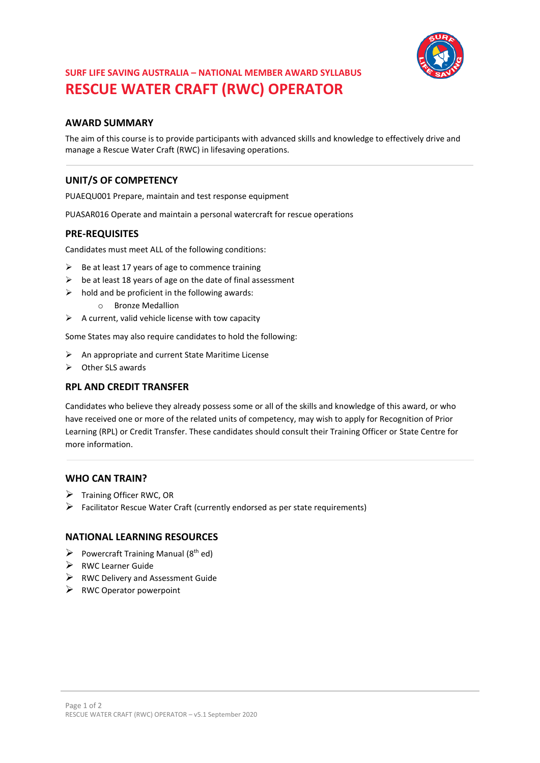

# **SURF LIFE SAVING AUSTRALIA – NATIONAL MEMBER AWARD SYLLABUS RESCUE WATER CRAFT (RWC) OPERATOR**

### **AWARD SUMMARY**

The aim of this course is to provide participants with advanced skills and knowledge to effectively drive and manage a Rescue Water Craft (RWC) in lifesaving operations.

## **UNIT/S OF COMPETENCY**

PUAEQU001 Prepare, maintain and test response equipment

PUASAR016 Operate and maintain a personal watercraft for rescue operations

### **PRE-REQUISITES**

Candidates must meet ALL of the following conditions:

- $\triangleright$  Be at least 17 years of age to commence training
- $\triangleright$  be at least 18 years of age on the date of final assessment
- $\triangleright$  hold and be proficient in the following awards:
	- o Bronze Medallion
- $\triangleright$  A current, valid vehicle license with tow capacity

Some States may also require candidates to hold the following:

- $\triangleright$  An appropriate and current State Maritime License
- ➢ Other SLS awards

#### **RPL AND CREDIT TRANSFER**

Candidates who believe they already possess some or all of the skills and knowledge of this award, or who have received one or more of the related units of competency, may wish to apply for Recognition of Prior Learning (RPL) or Credit Transfer. These candidates should consult their Training Officer or State Centre for more information.

#### **WHO CAN TRAIN?**

- ➢ Training Officer RWC, OR
- $\triangleright$  Facilitator Rescue Water Craft (currently endorsed as per state requirements)

### **NATIONAL LEARNING RESOURCES**

- $\triangleright$  Powercraft Training Manual (8<sup>th</sup> ed)
- ➢ RWC Learner Guide
- $\triangleright$  RWC Delivery and Assessment Guide
- $\triangleright$  RWC Operator powerpoint